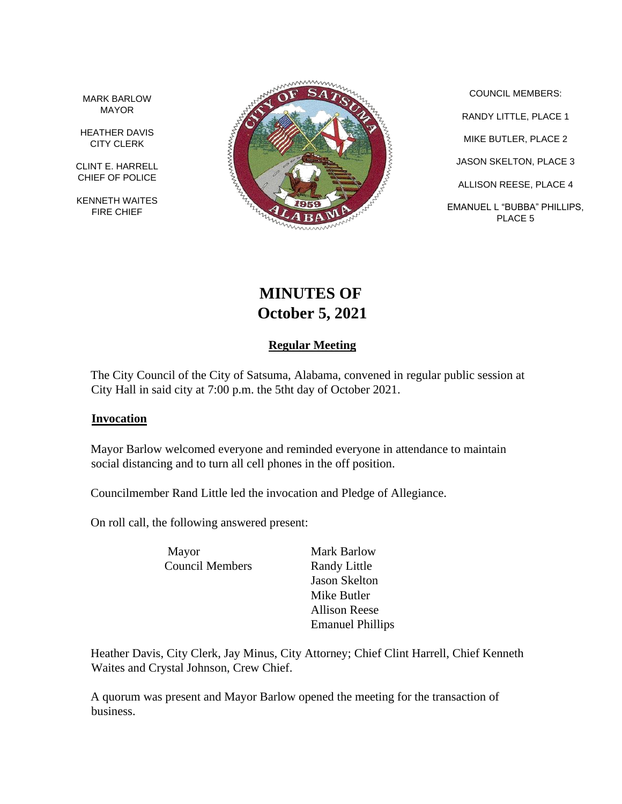MARK BARLOW MAYOR

HEATHER DAVIS CITY CLERK

CLINT E. HARRELL CHIEF OF POLICE

KENNETH WAITES FIRE CHIEF



COUNCIL MEMBERS: RANDY LITTLE, PLACE 1 MIKE BUTLER, PLACE 2 JASON SKELTON, PLACE 3 ALLISON REESE, PLACE 4 EMANUEL L "BUBBA" PHILLIPS, PLACE 5

# **MINUTES OF October 5, 2021**

# **Regular Meeting**

The City Council of the City of Satsuma, Alabama, convened in regular public session at City Hall in said city at 7:00 p.m. the 5tht day of October 2021.

#### **Invocation**

Mayor Barlow welcomed everyone and reminded everyone in attendance to maintain social distancing and to turn all cell phones in the off position.

Councilmember Rand Little led the invocation and Pledge of Allegiance.

On roll call, the following answered present:

Mayor Mark Barlow Council Members Randy Little

Jason Skelton Mike Butler Allison Reese Emanuel Phillips

Heather Davis, City Clerk, Jay Minus, City Attorney; Chief Clint Harrell, Chief Kenneth Waites and Crystal Johnson, Crew Chief.

A quorum was present and Mayor Barlow opened the meeting for the transaction of business.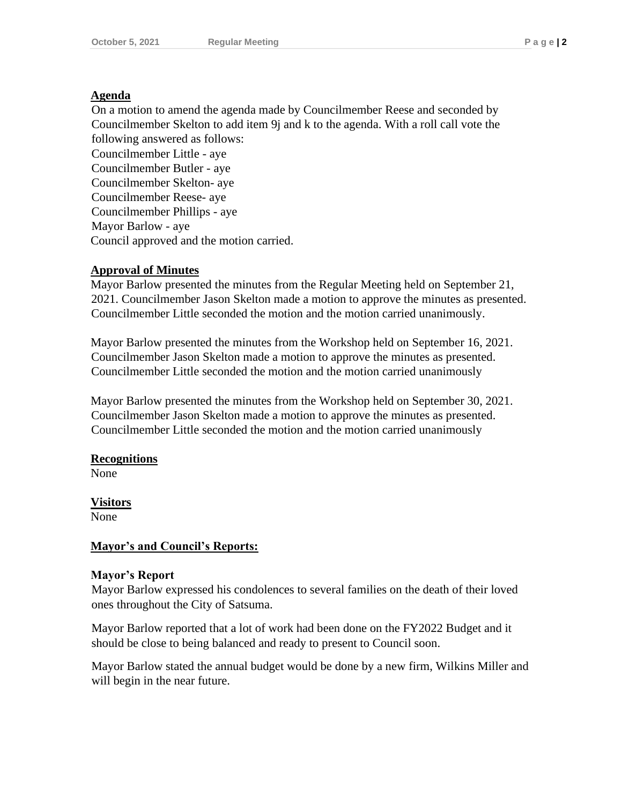#### **Agenda**

On a motion to amend the agenda made by Councilmember Reese and seconded by Councilmember Skelton to add item 9j and k to the agenda. With a roll call vote the following answered as follows:

Councilmember Little - aye Councilmember Butler - aye Councilmember Skelton- aye Councilmember Reese- aye Councilmember Phillips - aye Mayor Barlow - aye Council approved and the motion carried.

#### **Approval of Minutes**

Mayor Barlow presented the minutes from the Regular Meeting held on September 21, 2021. Councilmember Jason Skelton made a motion to approve the minutes as presented. Councilmember Little seconded the motion and the motion carried unanimously.

Mayor Barlow presented the minutes from the Workshop held on September 16, 2021. Councilmember Jason Skelton made a motion to approve the minutes as presented. Councilmember Little seconded the motion and the motion carried unanimously

Mayor Barlow presented the minutes from the Workshop held on September 30, 2021. Councilmember Jason Skelton made a motion to approve the minutes as presented. Councilmember Little seconded the motion and the motion carried unanimously

#### **Recognitions**

None

**Visitors** None

#### **Mayor's and Council's Reports:**

#### **Mayor's Report**

Mayor Barlow expressed his condolences to several families on the death of their loved ones throughout the City of Satsuma.

Mayor Barlow reported that a lot of work had been done on the FY2022 Budget and it should be close to being balanced and ready to present to Council soon.

Mayor Barlow stated the annual budget would be done by a new firm, Wilkins Miller and will begin in the near future.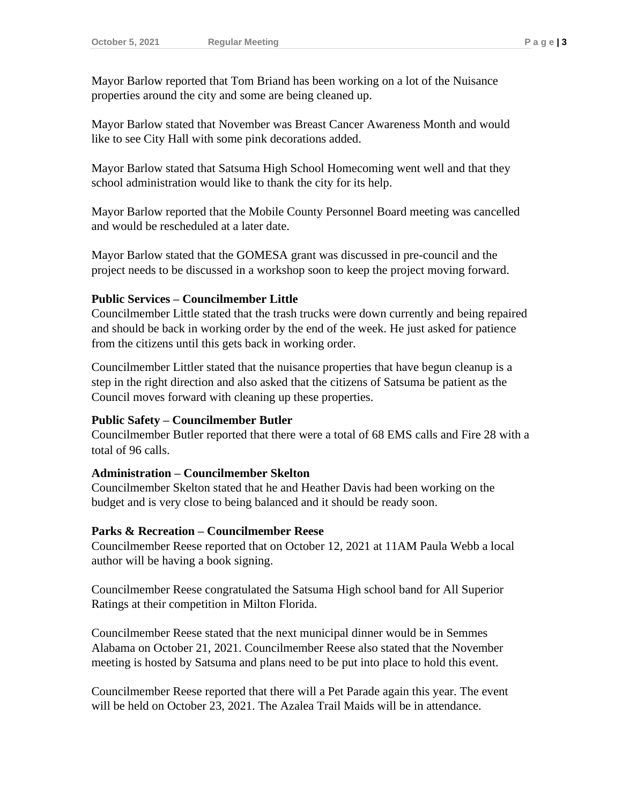Mayor Barlow reported that Tom Briand has been working on a lot of the Nuisance properties around the city and some are being cleaned up.

Mayor Barlow stated that November was Breast Cancer Awareness Month and would like to see City Hall with some pink decorations added.

Mayor Barlow stated that Satsuma High School Homecoming went well and that they school administration would like to thank the city for its help.

Mayor Barlow reported that the Mobile County Personnel Board meeting was cancelled and would be rescheduled at a later date.

Mayor Barlow stated that the GOMESA grant was discussed in pre-council and the project needs to be discussed in a workshop soon to keep the project moving forward.

#### **Public Services – Councilmember Little**

Councilmember Little stated that the trash trucks were down currently and being repaired and should be back in working order by the end of the week. He just asked for patience from the citizens until this gets back in working order.

Councilmember Littler stated that the nuisance properties that have begun cleanup is a step in the right direction and also asked that the citizens of Satsuma be patient as the Council moves forward with cleaning up these properties.

## **Public Safety – Councilmember Butler**

Councilmember Butler reported that there were a total of 68 EMS calls and Fire 28 with a total of 96 calls.

#### **Administration – Councilmember Skelton**

Councilmember Skelton stated that he and Heather Davis had been working on the budget and is very close to being balanced and it should be ready soon.

#### **Parks & Recreation – Councilmember Reese**

Councilmember Reese reported that on October 12, 2021 at 11AM Paula Webb a local author will be having a book signing.

Councilmember Reese congratulated the Satsuma High school band for All Superior Ratings at their competition in Milton Florida.

Councilmember Reese stated that the next municipal dinner would be in Semmes Alabama on October 21, 2021. Councilmember Reese also stated that the November meeting is hosted by Satsuma and plans need to be put into place to hold this event.

Councilmember Reese reported that there will a Pet Parade again this year. The event will be held on October 23, 2021. The Azalea Trail Maids will be in attendance.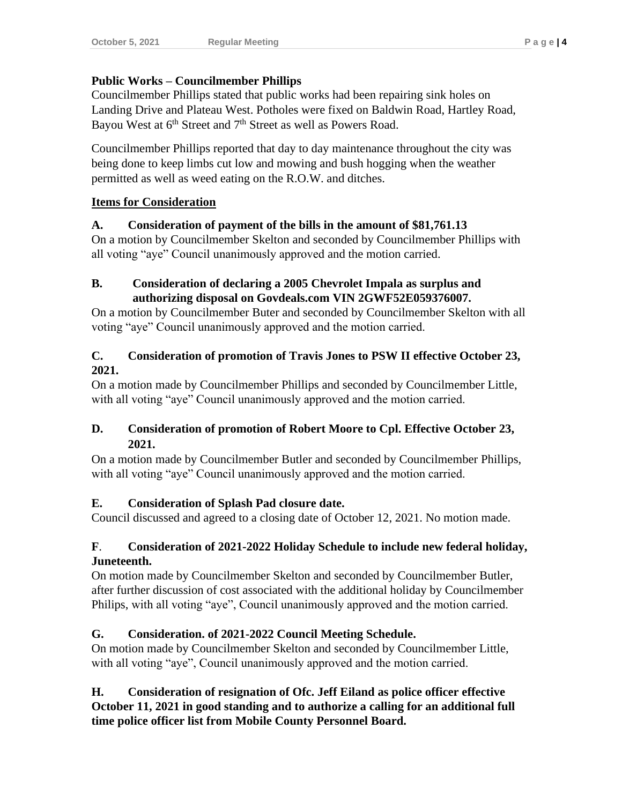## **Public Works – Councilmember Phillips**

Councilmember Phillips stated that public works had been repairing sink holes on Landing Drive and Plateau West. Potholes were fixed on Baldwin Road, Hartley Road, Bayou West at  $6<sup>th</sup>$  Street and  $7<sup>th</sup>$  Street as well as Powers Road.

Councilmember Phillips reported that day to day maintenance throughout the city was being done to keep limbs cut low and mowing and bush hogging when the weather permitted as well as weed eating on the R.O.W. and ditches.

#### **Items for Consideration**

#### **A. Consideration of payment of the bills in the amount of \$81,761.13**

On a motion by Councilmember Skelton and seconded by Councilmember Phillips with all voting "aye" Council unanimously approved and the motion carried.

## **B. Consideration of declaring a 2005 Chevrolet Impala as surplus and authorizing disposal on Govdeals.com VIN 2GWF52E059376007.**

On a motion by Councilmember Buter and seconded by Councilmember Skelton with all voting "aye" Council unanimously approved and the motion carried.

#### **C. Consideration of promotion of Travis Jones to PSW II effective October 23, 2021.**

On a motion made by Councilmember Phillips and seconded by Councilmember Little, with all voting "aye" Council unanimously approved and the motion carried.

# **D. Consideration of promotion of Robert Moore to Cpl. Effective October 23, 2021.**

On a motion made by Councilmember Butler and seconded by Councilmember Phillips, with all voting "aye" Council unanimously approved and the motion carried.

## **E. Consideration of Splash Pad closure date.**

Council discussed and agreed to a closing date of October 12, 2021. No motion made.

#### **F**. **Consideration of 2021-2022 Holiday Schedule to include new federal holiday, Juneteenth.**

On motion made by Councilmember Skelton and seconded by Councilmember Butler, after further discussion of cost associated with the additional holiday by Councilmember Philips, with all voting "aye", Council unanimously approved and the motion carried.

## **G. Consideration. of 2021-2022 Council Meeting Schedule.**

On motion made by Councilmember Skelton and seconded by Councilmember Little, with all voting "aye", Council unanimously approved and the motion carried.

# **H. Consideration of resignation of Ofc. Jeff Eiland as police officer effective October 11, 2021 in good standing and to authorize a calling for an additional full time police officer list from Mobile County Personnel Board.**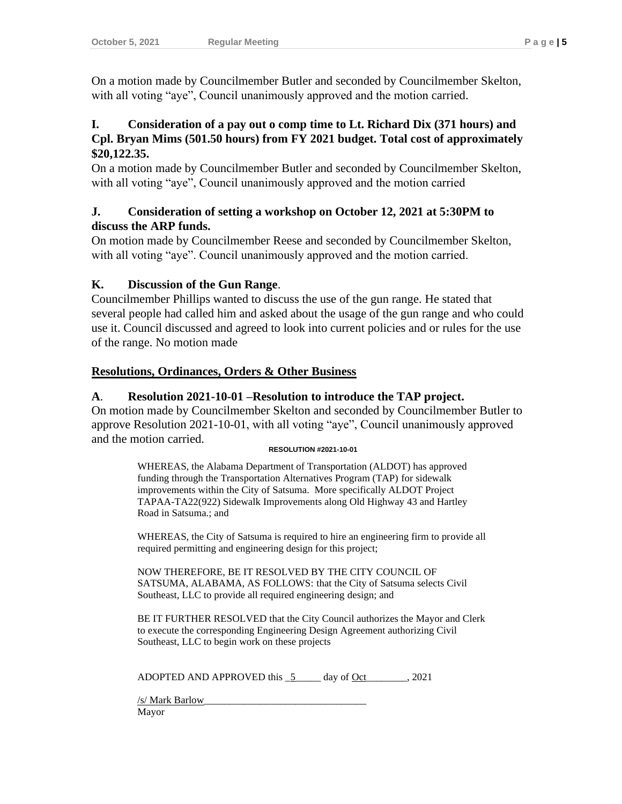On a motion made by Councilmember Butler and seconded by Councilmember Skelton, with all voting "aye", Council unanimously approved and the motion carried.

## **I. Consideration of a pay out o comp time to Lt. Richard Dix (371 hours) and Cpl. Bryan Mims (501.50 hours) from FY 2021 budget. Total cost of approximately \$20,122.35.**

On a motion made by Councilmember Butler and seconded by Councilmember Skelton, with all voting "aye", Council unanimously approved and the motion carried

#### **J. Consideration of setting a workshop on October 12, 2021 at 5:30PM to discuss the ARP funds.**

On motion made by Councilmember Reese and seconded by Councilmember Skelton, with all voting "aye". Council unanimously approved and the motion carried.

## **K. Discussion of the Gun Range**.

Councilmember Phillips wanted to discuss the use of the gun range. He stated that several people had called him and asked about the usage of the gun range and who could use it. Council discussed and agreed to look into current policies and or rules for the use of the range. No motion made

## **Resolutions, Ordinances, Orders & Other Business**

## **A**. **Resolution 2021-10-01 –Resolution to introduce the TAP project.**

On motion made by Councilmember Skelton and seconded by Councilmember Butler to approve Resolution 2021-10-01, with all voting "aye", Council unanimously approved and the motion carried.

#### **RESOLUTION #2021-10-01**

WHEREAS, the Alabama Department of Transportation (ALDOT) has approved funding through the Transportation Alternatives Program (TAP) for sidewalk improvements within the City of Satsuma. More specifically ALDOT Project TAPAA-TA22(922) Sidewalk Improvements along Old Highway 43 and Hartley Road in Satsuma.; and

WHEREAS, the City of Satsuma is required to hire an engineering firm to provide all required permitting and engineering design for this project;

NOW THEREFORE, BE IT RESOLVED BY THE CITY COUNCIL OF SATSUMA, ALABAMA, AS FOLLOWS: that the City of Satsuma selects Civil Southeast, LLC to provide all required engineering design; and

BE IT FURTHER RESOLVED that the City Council authorizes the Mayor and Clerk to execute the corresponding Engineering Design Agreement authorizing Civil Southeast, LLC to begin work on these projects

ADOPTED AND APPROVED this  $5$  day of Oct  $.2021$ 

/s/ Mark Barlow\_\_\_\_\_\_\_\_\_\_\_\_\_\_\_\_\_\_\_\_\_\_\_\_\_\_\_\_\_\_\_\_ Mayor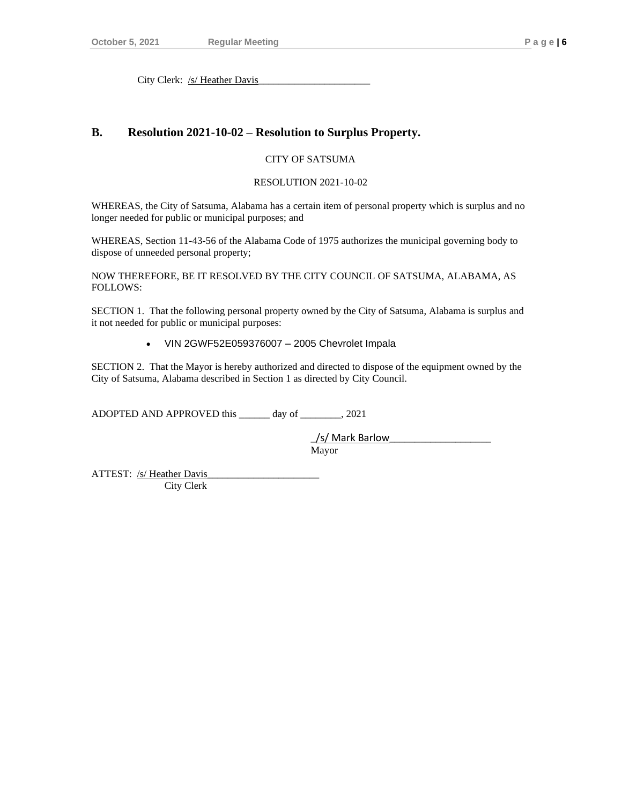#### **B. Resolution 2021-10-02 – Resolution to Surplus Property.**

#### CITY OF SATSUMA

#### RESOLUTION 2021-10-02

WHEREAS, the City of Satsuma, Alabama has a certain item of personal property which is surplus and no longer needed for public or municipal purposes; and

WHEREAS, Section 11-43-56 of the Alabama Code of 1975 authorizes the municipal governing body to dispose of unneeded personal property;

NOW THEREFORE, BE IT RESOLVED BY THE CITY COUNCIL OF SATSUMA, ALABAMA, AS FOLLOWS:

SECTION 1. That the following personal property owned by the City of Satsuma, Alabama is surplus and it not needed for public or municipal purposes:

• VIN 2GWF52E059376007 – 2005 Chevrolet Impala

SECTION 2. That the Mayor is hereby authorized and directed to dispose of the equipment owned by the City of Satsuma, Alabama described in Section 1 as directed by City Council.

ADOPTED AND APPROVED this \_\_\_\_\_\_ day of \_\_\_\_\_\_\_\_, 2021

\_/s/ Mark Barlow\_\_\_\_\_\_\_\_\_\_\_\_\_\_\_\_\_\_\_\_ Mayor

ATTEST: /s/ Heather Davis City Clerk